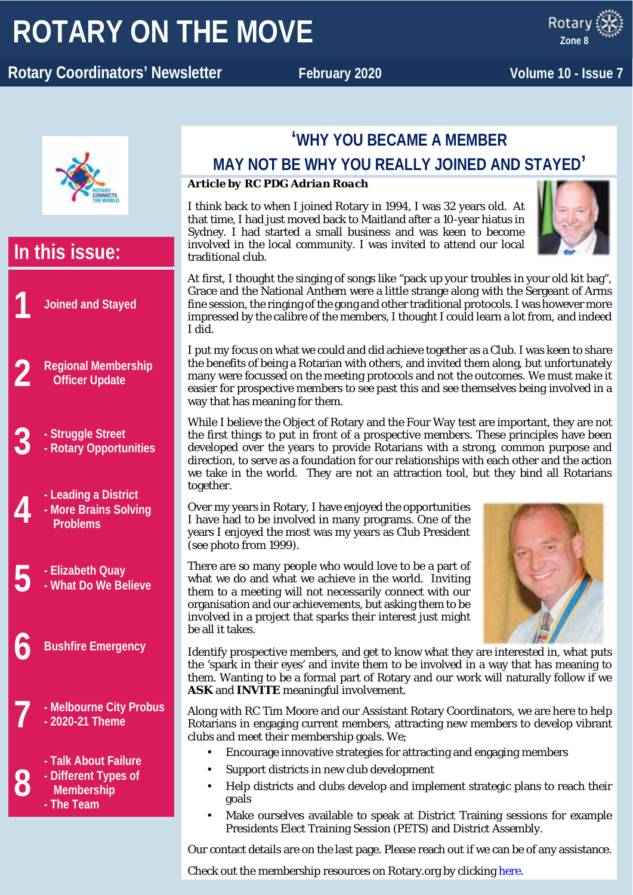# **ROTARY ON THE MOVE**

x ROTARY **Rotary Coordinators' Newsletter February 2020** Volume 10 - Issue 7

**Zone 8**



# **In this issue: 1 Joined and Stayed 2 Regional Membership Officer Update 3 - Struggle Street - Rotary Opportunities 4 -** Leading a District<br>More Brains Solvi<br>Problems **- More Brains Solving Problems 5 - Elizabeth Quay - What Do We Believe 6 Bushfire Emergency 7 - Melbourne City Probus - 2020-21 Theme 8 - Talk About Failure - Different Types of Membership - The Team**

# **'WHY YOU BECAME A MEMBER**

### **MAY NOT BE WHY YOU REALLY JOINED AND STAYED'**

### *Article by RC PDG Adrian Roach*

I think back to when I joined Rotary in 1994, I was 32 years old. At that time, I had just moved back to Maitland after a 10-year hiatus in Sydney. I had started a small business and was keen to become involved in the local community. I was invited to attend our local traditional club.



At first, I thought the singing of songs like "pack up your troubles in your old kit bag", Grace and the National Anthem were a little strange along with the Sergeant of Arms fine session, the ringing of the gong and other traditional protocols. I was however more impressed by the calibre of the members, I thought I could learn a lot from, and indeed I did.

I put my focus on what we could and did achieve together as a Club. I was keen to share the benefits of being a Rotarian with others, and invited them along, but unfortunately many were focussed on the meeting protocols and not the outcomes. We must make it easier for prospective members to see past this and see themselves being involved in a way that has meaning for them.

While I believe the Object of Rotary and the Four Way test are important, they are not the first things to put in front of a prospective members. These principles have been developed over the years to provide Rotarians with a strong, common purpose and direction, to serve as a foundation for our relationships with each other and the action we take in the world. They are not an attraction tool, but they bind all Rotarians together.

Over my years in Rotary, I have enjoyed the opportunities I have had to be involved in many programs. One of the years I enjoyed the most was my years as Club President (see photo from 1999).

There are so many people who would love to be a part of what we do and what we achieve in the world. Inviting them to a meeting will not necessarily connect with our organisation and our achievements, but asking them to be involved in a project that sparks their interest just might be all it takes.



Identify prospective members, and get to know what they are interested in, what puts the 'spark in their eyes' and invite them to be involved in a way that has meaning to them. Wanting to be a formal part of Rotary and our work will naturally follow if we **ASK** and **INVITE** meaningful involvement.

Along with RC Tim Moore and our Assistant Rotary Coordinators, we are here to help Rotarians in engaging current members, attracting new members to develop vibrant clubs and meet their membership goals. We;

- Encourage innovative strategies for attracting and engaging members
- Support districts in new club development
- Help districts and clubs develop and implement strategic plans to reach their goals
- Make ourselves available to speak at District Training sessions for example Presidents Elect Training Session (PETS) and District Assembly.

Our contact details are on the last page. Please reach out if we can be of any assistance.

Check out the membership resources on Rotary.org by clicking [here.](https://my.rotary.org/en/learning-reference/learn-topic/membership)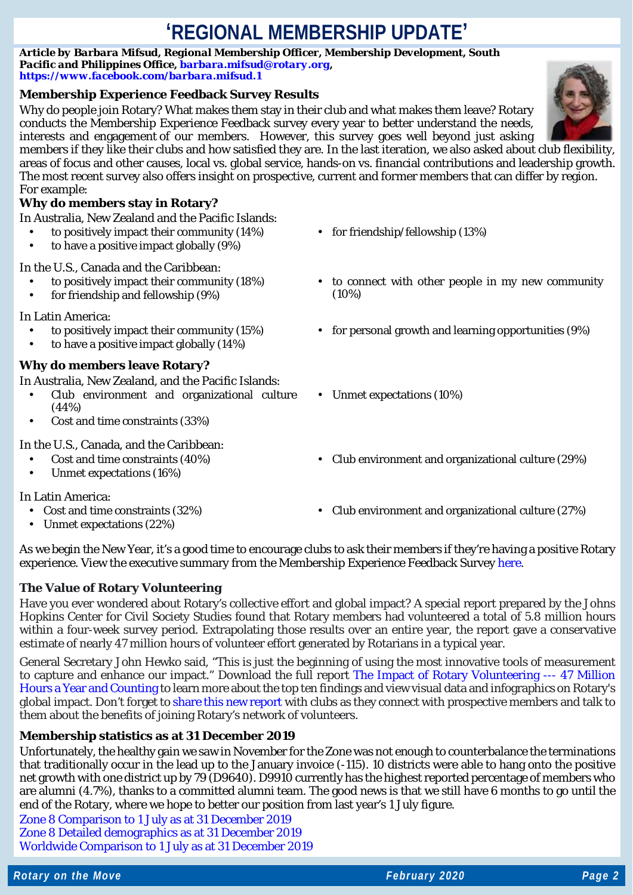# **'REGIONAL MEMBERSHIP UPDATE'**

*Article by Barbara Mifsud, Regional Membership Officer, Membership Development, South Pacific and Philippines Office, [barbara.mifsud@rotary.org,](mailto:barbara.mifsud@rotary.org) <https://www.facebook.com/barbara.mifsud.1>*

### **Membership Experience Feedback Survey Results**

Why do people join Rotary? What makes them stay in their club and what makes them leave? Rotary conducts the Membership Experience Feedback survey every year to better understand the needs, interests and engagement of our members. However, this survey goes well beyond just asking



members if they like their clubs and how satisfied they are. In the last iteration, we also asked about club flexibility, areas of focus and other causes, local vs. global service, hands-on vs. financial contributions and leadership growth. The most recent survey also offers insight on prospective, current and former members that can differ by region. For example:

### **Why do members stay in Rotary?**

| In Australia, New Zealand and the Pacific Islands:<br>to positively impact their community (14%)<br>to have a positive impact globally (9%)<br>$\blacksquare$                              | for friendship/fellowship (13%)<br>$\mathbf{r}$              |
|--------------------------------------------------------------------------------------------------------------------------------------------------------------------------------------------|--------------------------------------------------------------|
| In the U.S., Canada and the Caribbean:<br>to positively impact their community (18%)<br>for friendship and fellowship (9%)                                                                 | to connect with other people in my new community<br>$(10\%)$ |
| In Latin America:<br>to positively impact their community (15%)<br>to have a positive impact globally (14%)<br>٠                                                                           | for personal growth and learning opportunities (9%)          |
| <b>Why do members leave Rotary?</b><br>In Australia, New Zealand, and the Pacific Islands:<br>Club environment and organizational culture<br>(44%)<br>Cost and time constraints (33%)<br>٠ | Unmet expectations (10%)<br>$\mathbf{r}$ .                   |
| In the U.S., Canada, and the Caribbean:<br>Cost and time constraints (40%)<br>Unmet expectations (16%)<br>٠                                                                                | Club environment and organizational culture (29%)            |
| In Latin America:<br>Cost and time constraints (32%)<br>$\blacksquare$<br>Unmet expectations (22%)<br>$\bullet$                                                                            | Club environment and organizational culture (27%)            |

As we begin the New Year, it's a good time to encourage clubs to ask their members if they're having a positive Rotary experience. View the executive summary from the Membership Experience Feedback Survey [here.](http://msgfocus.rotary.org/files/amf_highroad_solution/user_81/Global_Regional_exec_summary_2019/Global_RegionalExecSummary_EN.pdf)

### **The Value of Rotary Volunteering**

Have you ever wondered about Rotary's collective effort and global impact? A special report prepared by the Johns Hopkins Center for Civil Society Studies found that Rotary members had volunteered a total of 5.8 million hours within a four-week survey period. Extrapolating those results over an entire year, the report gave a conservative estimate of nearly 47 million hours of volunteer effort generated by Rotarians in a typical year.

General Secretary John Hewko said, "This is just the beginning of using the most innovative tools of measurement to capture and enhance our impact." Download the full report [The Impact of Rotary Volunteering ---](https://ccss.jhu.edu/rotary-volunteering-report/?fbclid=IwAR1soFa5wjNiozeNGNNzKheLgwRv-EGrSgRXC4jpXYh22ho7YXeT-HdzV3A) 47 Million [Hours a Year and Counting](https://ccss.jhu.edu/rotary-volunteering-report/?fbclid=IwAR1soFa5wjNiozeNGNNzKheLgwRv-EGrSgRXC4jpXYh22ho7YXeT-HdzV3A) to learn more about the top ten findings and view visual data and infographics on Rotary's global impact. Don't forget t[o share this new report](https://www.rotary.org/en/value-rotary-volunteering) with clubs as they connect with prospective members and talk to them about the benefits of joining Rotary's network of volunteers.

### **Membership statistics as at 31 December 2019**

Unfortunately, the healthy gain we saw in November for the Zone was not enough to counterbalance the terminations that traditionally occur in the lead up to the January invoice (-115). 10 districts were able to hang onto the positive net growth with one district up by 79 (D9640). D9910 currently has the highest reported percentage of members who are alumni (4.7%), thanks to a committed alumni team. The good news is that we still have 6 months to go until the end of the Rotary, where we hope to better our position from last year's 1 July figure.

[Zone 8 Comparison to 1 July as at 31 December 2019](https://www.dropbox.com/s/73bs0kv9xzukrnc/20200109%20-%20Australia%2C%20New%20Zealand%20and%20Pacific%20Islands%20-%20COMPARISON_TO_1_JULY%2031%20December%202019.pdf?dl=0) [Zone 8 Detailed demographics as at 31 December 2019](https://www.dropbox.com/s/luet2bgprdx2m0q/20200109%20-%20Australia%2C%20New%20Zealand%20and%20Pacific%20Islands%20-%20DISTRICT_MEMBERSHIP_PROGRESS_TO_GOAL%20at%2031%20December%202019.pdf?dl=0) [Worldwide Comparison to 1 July as at 31 December 2019](https://www.dropbox.com/s/o4o9uz4jloroo5b/20200109%20-%20Worldwide%20-%20Comparison_to_start_figures_December_2019.pdf?dl=0)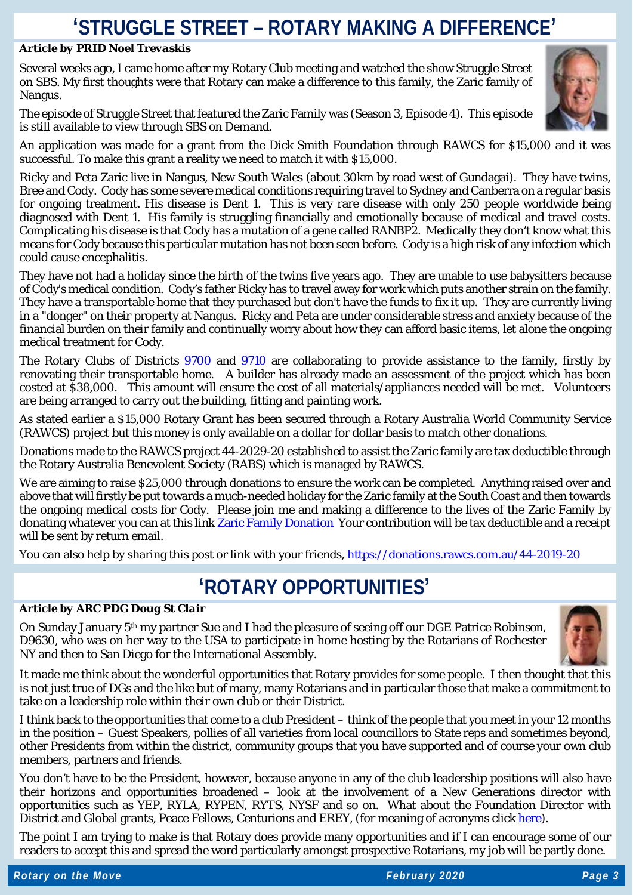# **'STRUGGLE STREET – ROTARY MAKING A DIFFERENCE'**

#### *Article by PRID Noel Trevaskis*

Several weeks ago, I came home after my Rotary Club meeting and watched the show Struggle Street on SBS. My first thoughts were that Rotary can make a difference to this family, the Zaric family of Nangus.

The episode of Struggle Street that featured the Zaric Family was (Season 3, Episode 4). This episode is still available to view through SBS on Demand.



An application was made for a grant from the Dick Smith Foundation through RAWCS for \$15,000 and it was successful. To make this grant a reality we need to match it with \$15,000.

Ricky and Peta Zaric live in Nangus, New South Wales (about 30km by road west of Gundagai). They have twins, Bree and Cody. Cody has some severe medical conditions requiring travel to Sydney and Canberra on a regular basis for ongoing treatment. His disease is Dent 1. This is very rare disease with only 250 people worldwide being diagnosed with Dent 1. His family is struggling financially and emotionally because of medical and travel costs. Complicating his disease is that Cody has a mutation of a gene called RANBP2. Medically they don't know what this means for Cody because this particular mutation has not been seen before. Cody is a high risk of any infection which could cause encephalitis.

They have not had a holiday since the birth of the twins five years ago. They are unable to use babysitters because of Cody's medical condition. Cody's father Ricky has to travel away for work which puts another strain on the family. They have a transportable home that they purchased but don't have the funds to fix it up. They are currently living in a "donger" on their property at Nangus. Ricky and Peta are under considerable stress and anxiety because of the financial burden on their family and continually worry about how they can afford basic items, let alone the ongoing medical treatment for Cody.

The Rotary Clubs of Districts [9700](https://www.rotary9700.org.au/) and [9710](http://www.rotaryd9710.org.au/) are collaborating to provide assistance to the family, firstly by renovating their transportable home. A builder has already made an assessment of the project which has been costed at \$38,000. This amount will ensure the cost of all materials/appliances needed will be met. Volunteers are being arranged to carry out the building, fitting and painting work.

As stated earlier a \$15,000 Rotary Grant has been secured through a Rotary Australia World Community Service (RAWCS) project but this money is only available on a dollar for dollar basis to match other donations.

Donations made to the RAWCS project 44-2029-20 established to assist the Zaric family are tax deductible through the Rotary Australia Benevolent Society (RABS) which is managed by RAWCS.

We are aiming to raise \$25,000 through donations to ensure the work can be completed. Anything raised over and above that will firstly be put towards a much-needed holiday for the Zaric family at the South Coast and then towards the ongoing medical costs for Cody. Please join me and making a difference to the lives of the Zaric Family by donating whatever you can at this link [Zaric Family Donation](https://donations.rawcs.com.au/44-2019-20) Your contribution will be tax deductible and a receipt will be sent by return email.

You can also help by sharing this post or link with your friends[, https://donations.rawcs.com.au/44-2019-20](https://donations.rawcs.com.au/44-2019-20)

### **'ROTARY OPPORTUNITIES'**

#### *Article by ARC PDG Doug St Clair*

On Sunday January 5th my partner Sue and I had the pleasure of seeing off our DGE Patrice Robinson, D9630, who was on her way to the USA to participate in home hosting by the Rotarians of Rochester NY and then to San Diego for the International Assembly.



It made me think about the wonderful opportunities that Rotary provides for some people. I then thought that this is not just true of DGs and the like but of many, many Rotarians and in particular those that make a commitment to take on a leadership role within their own club or their District.

I think back to the opportunities that come to a club President – think of the people that you meet in your 12 months in the position – Guest Speakers, pollies of all varieties from local councillors to State reps and sometimes beyond, other Presidents from within the district, community groups that you have supported and of course your own club members, partners and friends.

You don't have to be the President, however, because anyone in any of the club leadership positions will also have their horizons and opportunities broadened – look at the involvement of a New Generations director with opportunities such as YEP, RYLA, RYPEN, RYTS, NYSF and so on. What about the Foundation Director with District and Global grants, Peace Fellows, Centurions and EREY, (for meaning of acronyms click [here\)](https://www.rotary9640.org/page/rotary-acronyms).

The point I am trying to make is that Rotary does provide many opportunities and if I can encourage some of our readers to accept this and spread the word particularly amongst prospective Rotarians, my job will be partly done.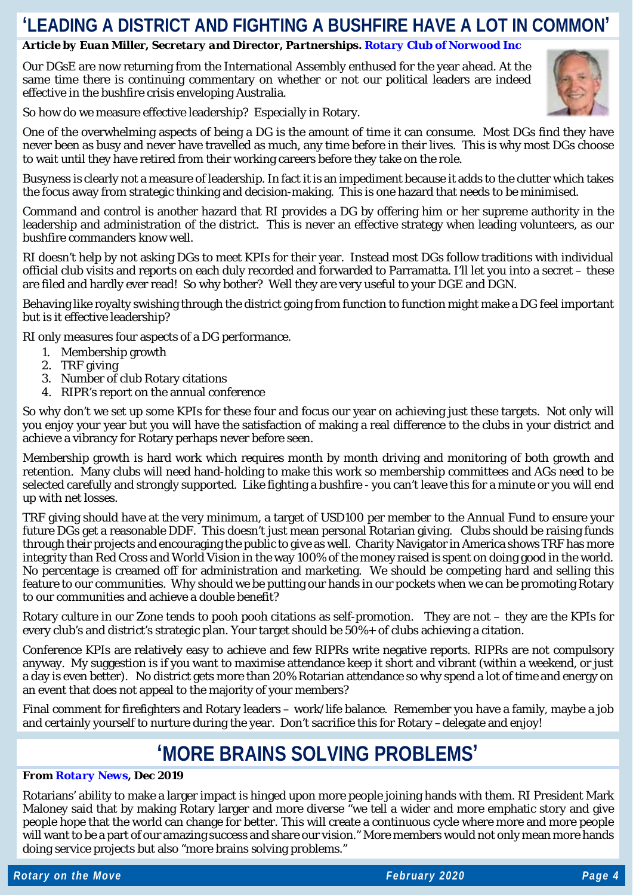### **'LEADING A DISTRICT AND FIGHTING A BUSHFIRE HAVE A LOT IN COMMON'**

#### *Article by Euan Miller, Secretary and Director, Partnerships. [Rotary Club of Norwood Inc](http://rotarynorwood.org.au/)*

Our DGsE are now returning from the International Assembly enthused for the year ahead. At the same time there is continuing commentary on whether or not our political leaders are indeed effective in the bushfire crisis enveloping Australia.



So how do we measure effective leadership? Especially in Rotary.

One of the overwhelming aspects of being a DG is the amount of time it can consume. Most DGs find they have never been as busy and never have travelled as much, any time before in their lives. This is why most DGs choose to wait until they have retired from their working careers before they take on the role.

Busyness is clearly not a measure of leadership. In fact it is an impediment because it adds to the clutter which takes the focus away from strategic thinking and decision-making. This is one hazard that needs to be minimised.

Command and control is another hazard that RI provides a DG by offering him or her supreme authority in the leadership and administration of the district. This is never an effective strategy when leading volunteers, as our bushfire commanders know well.

RI doesn't help by not asking DGs to meet KPIs for their year. Instead most DGs follow traditions with individual official club visits and reports on each duly recorded and forwarded to Parramatta. I'll let you into a secret – these are filed and hardly ever read! So why bother? Well they are very useful to your DGE and DGN.

Behaving like royalty swishing through the district going from function to function might make a DG feel important but is it effective leadership?

RI only measures four aspects of a DG performance.

- 1. Membership growth
- 2. TRF giving
- 3. Number of club Rotary citations
- 4. RIPR's report on the annual conference

So why don't we set up some KPIs for these four and focus our year on achieving just these targets. Not only will you enjoy your year but you will have the satisfaction of making a real difference to the clubs in your district and achieve a vibrancy for Rotary perhaps never before seen.

Membership growth is hard work which requires month by month driving and monitoring of both growth and retention. Many clubs will need hand-holding to make this work so membership committees and AGs need to be selected carefully and strongly supported. Like fighting a bushfire - you can't leave this for a minute or you will end up with net losses.

TRF giving should have at the very minimum, a target of USD100 per member to the Annual Fund to ensure your future DGs get a reasonable DDF. This doesn't just mean personal Rotarian giving. Clubs should be raising funds through their projects and encouraging the public to give as well. Charity Navigator in America shows TRF has more integrity than Red Cross and World Vision in the way 100% of the money raised is spent on doing good in the world. No percentage is creamed off for administration and marketing. We should be competing hard and selling this feature to our communities. Why should we be putting our hands in our pockets when we can be promoting Rotary to our communities and achieve a double benefit?

Rotary culture in our Zone tends to pooh pooh citations as self-promotion. They are not – they are the KPIs for every club's and district's strategic plan. Your target should be 50%+ of clubs achieving a citation.

Conference KPIs are relatively easy to achieve and few RIPRs write negative reports. RIPRs are not compulsory anyway. My suggestion is if you want to maximise attendance keep it short and vibrant (within a weekend, or just a day is even better). No district gets more than 20% Rotarian attendance so why spend a lot of time and energy on an event that does not appeal to the majority of your members?

Final comment for firefighters and Rotary leaders – work/life balance. Remember you have a family, maybe a job and certainly yourself to nurture during the year. Don't sacrifice this for Rotary –delegate and enjoy!

# **'MORE BRAINS SOLVING PROBLEMS'**

#### *From [Rotary News,](https://rotarynewsonline.org/let-us-embrace-both-challenges-change-maloney/) Dec 2019*

Rotarians' ability to make a larger impact is hinged upon more people joining hands with them. RI President Mark Maloney said that by making Rotary larger and more diverse "we tell a wider and more emphatic story and give people hope that the world can change for better. This will create a continuous cycle where more and more people will want to be a part of our amazing success and share our vision." More members would not only mean more hands doing service projects but also "more brains solving problems."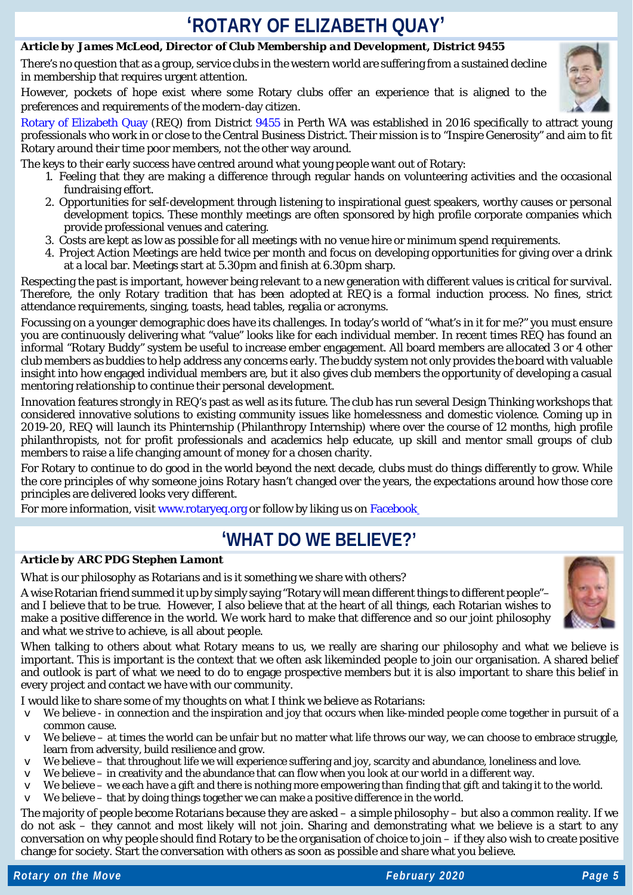# **'ROTARY OF ELIZABETH QUAY'**

### *Article by James McLeod, Director of Club Membership and Development, District 9455*

There's no question that as a group, service clubs in the western world are suffering from a sustained decline in membership that requires urgent attention.

However, pockets of hope exist where some Rotary clubs offer an experience that is aligned to the preferences and requirements of the modern-day citizen.



[Rotary of Elizabeth Quay](https://www.rotaryeq.org/) (REQ) from District [9455](https://rotarydistrict9455.org/) in Perth WA was established in 2016 specifically to attract young professionals who work in or close to the Central Business District. Their mission is to "Inspire Generosity" and aim to fit Rotary around their time poor members, not the other way around.

The keys to their early success have centred around what young people want out of Rotary:

- 1. Feeling that they are making a difference through regular hands on volunteering activities and the occasional fundraising effort.
- 2. Opportunities for self-development through listening to inspirational guest speakers, worthy causes or personal development topics. These monthly meetings are often sponsored by high profile corporate companies which provide professional venues and catering.
- 3. Costs are kept as low as possible for all meetings with no venue hire or minimum spend requirements.
- 4. Project Action Meetings are held twice per month and focus on developing opportunities for giving over a drink at a local bar. Meetings start [at 5.30pm](x-apple-data-detectors://7/) and [finish at 6.30pm](x-apple-data-detectors://8/) sharp.

Respecting the past is important, however being relevant to a new generation with different values is critical for survival. Therefore, the only Rotary tradition that has been adopted at REQ is a formal induction process. No fines, strict attendance requirements, singing, toasts, head tables, regalia or acronyms.

Focussing on a younger demographic does have its challenges. In today's world of "what's in it for me?" you must ensure you are continuously delivering what "value" looks like for each individual member. In recent times REQ has found an informal "Rotary Buddy" system be useful to increase ember engagement. All board members are allocated 3 or 4 other club members as buddies to help address any concerns early. The buddy system not only provides the board with valuable insight into how engaged individual members are, but it also gives club members the opportunity of developing a casual mentoring relationship to continue their personal development.

Innovation features strongly in REQ's past as well as its future. The club has run several Design Thinking workshops that considered innovative solutions to existing community issues like homelessness and domestic violence. Coming up in 2019-20, REQ will launch its Phinternship (Philanthropy Internship) where over the course of 12 months, high profile philanthropists, not for profit professionals and academics help educate, up skill and mentor small groups of club members to raise a life changing amount of money for a chosen charity.

For Rotary to continue to do good in the world beyond the next decade, clubs must do things differently to grow. While the core principles of why someone joins Rotary hasn't changed over the years, the expectations around how those core principles are delivered looks very different.

For more information, visit [www.rotaryeq.org](http://www.rotaryeq.org/) or follow by liking us on [Facebook](https://www.facebook.com/rotaryEQ/)

### **'WHAT DO WE BELIEVE?'**

#### *Article by ARC PDG Stephen Lamont*

What is our philosophy as Rotarians and is it something we share with others?

A wise Rotarian friend summed it up by simply saying "Rotary will mean different things to different people"– and I believe that to be true. However, I also believe that at the heart of all things, each Rotarian wishes to make a positive difference in the world. We work hard to make that difference and so our joint philosophy and what we strive to achieve, is all about people.



When talking to others about what Rotary means to us, we really are sharing our philosophy and what we believe is important. This is important is the context that we often ask likeminded people to join our organisation. A shared belief and outlook is part of what we need to do to engage prospective members but it is also important to share this belief in every project and contact we have with our community.

I would like to share some of my thoughts on what I think we believe as Rotarians:

- v We believe in connection and the inspiration and joy that occurs when like-minded people come together in pursuit of a common cause.
- v We believe at times the world can be unfair but no matter what life throws our way, we can choose to embrace struggle, learn from adversity, build resilience and grow.
- v We believe that throughout life we will experience suffering and joy, scarcity and abundance, loneliness and love.
- v We believe in creativity and the abundance that can flow when you look at our world in a different way.
- v We believe we each have a gift and there is nothing more empowering than finding that gift and taking it to the world.
- $\vee$  We believe that by doing things together we can make a positive difference in the world.

The majority of people become Rotarians because they are asked – a simple philosophy – but also a common reality. If we do not ask – they cannot and most likely will not join. Sharing and demonstrating what we believe is a start to any conversation on why people should find Rotary to be the organisation of choice to join – if they also wish to create positive change for society. Start the conversation with others as soon as possible and share what you believe.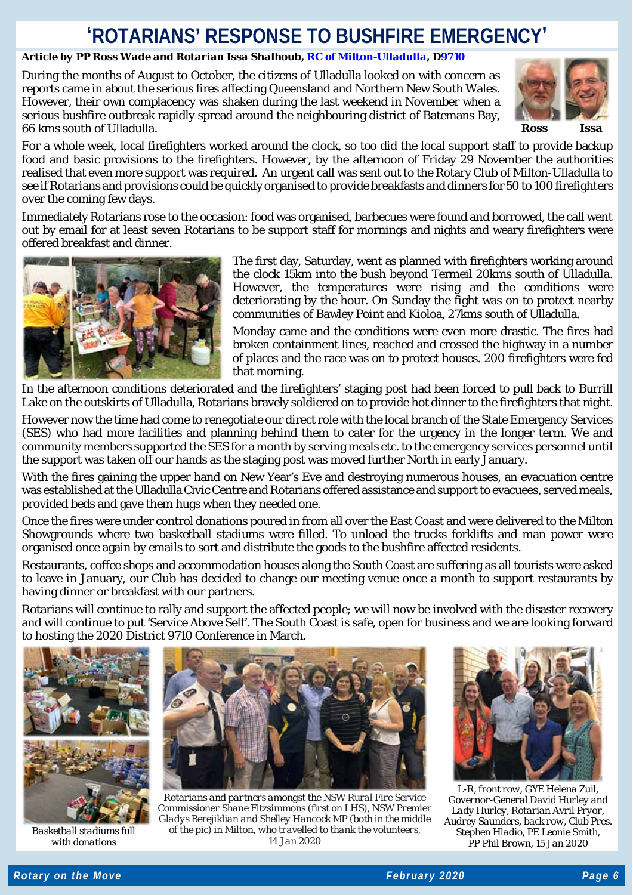# **'ROTARIANS' RESPONSE TO BUSHFIRE EMERGENCY'**

### *Article by PP Ross Wade and Rotarian Issa Shalhoub[, RC of Milton-Ulladulla,](https://rotaryclubofmiltonulladulla.org.au/) [D9710](https://www.rotaryd9710.org.au/)*

During the months of August to October, the citizens of Ulladulla looked on with concern as reports came in about the serious fires affecting Queensland and Northern New South Wales. However, their own complacency was shaken during the last weekend in November when a serious bushfire outbreak rapidly spread around the neighbouring district of Batemans Bay, 66 kms south of Ulladulla. *Ross Issa*



For a whole week, local firefighters worked around the clock, so too did the local support staff to provide backup food and basic provisions to the firefighters. However, by the afternoon of Friday 29 November the authorities realised that even more support was required. An urgent call was sent out to the Rotary Club of Milton-Ulladulla to see if Rotarians and provisions could be quickly organised to provide breakfasts and dinners for 50 to 100 firefighters over the coming few days.

Immediately Rotarians rose to the occasion: food was organised, barbecues were found and borrowed, the call went out by email for at least seven Rotarians to be support staff for mornings and nights and weary firefighters were offered breakfast and dinner.



The first day, Saturday, went as planned with firefighters working around the clock 15km into the bush beyond Termeil 20kms south of Ulladulla. However, the temperatures were rising and the conditions were deteriorating by the hour. On Sunday the fight was on to protect nearby communities of Bawley Point and Kioloa, 27kms south of Ulladulla.

Monday came and the conditions were even more drastic. The fires had broken containment lines, reached and crossed the highway in a number of places and the race was on to protect houses. 200 firefighters were fed that morning.

In the afternoon conditions deteriorated and the firefighters' staging post had been forced to pull back to Burrill Lake on the outskirts of Ulladulla, Rotarians bravely soldiered on to provide hot dinner to the firefighters that night.

However now the time had come to renegotiate our direct role with the local branch of the State Emergency Services (SES) who had more facilities and planning behind them to cater for the urgency in the longer term. We and community members supported the SES for a month by serving meals etc. to the emergency services personnel until the support was taken off our hands as the staging post was moved further North in early January.

With the fires gaining the upper hand on New Year's Eve and destroying numerous houses, an evacuation centre was established at the Ulladulla Civic Centre and Rotarians offered assistance and support to evacuees, served meals, provided beds and gave them hugs when they needed one.

Once the fires were under control donations poured in from all over the East Coast and were delivered to the Milton Showgrounds where two basketball stadiums were filled. To unload the trucks forklifts and man power were organised once again by emails to sort and distribute the goods to the bushfire affected residents.

Restaurants, coffee shops and accommodation houses along the South Coast are suffering as all tourists were asked to leave in January, our Club has decided to change our meeting venue once a month to support restaurants by having dinner or breakfast with our partners.

Rotarians will continue to rally and support the affected people; we will now be involved with the disaster recovery and will continue to put 'Service Above Self'. The South Coast is safe, open for business and we are looking forward to hosting the 2020 District 9710 Conference in March.



*Basketball stadiums full with donations*



*Rotarians and partners amongst the NSW Rural Fire Service Commissioner Shane Fitzsimmons (first on LHS), NSW Premier Gladys Berejiklian and Shelley Hancock MP (both in the middle of the pic) in Milton, who travelled to thank the volunteers, 14 Jan 2020*



*L-R, front row, GYE Helena Zuil, Governor-General David Hurley and Lady Hurley, Rotarian Avril Pryor, Audrey Saunders, back row, Club Pres. Stephen Hladio, PE Leonie Smith, PP Phil Brown, 15 Jan 2020*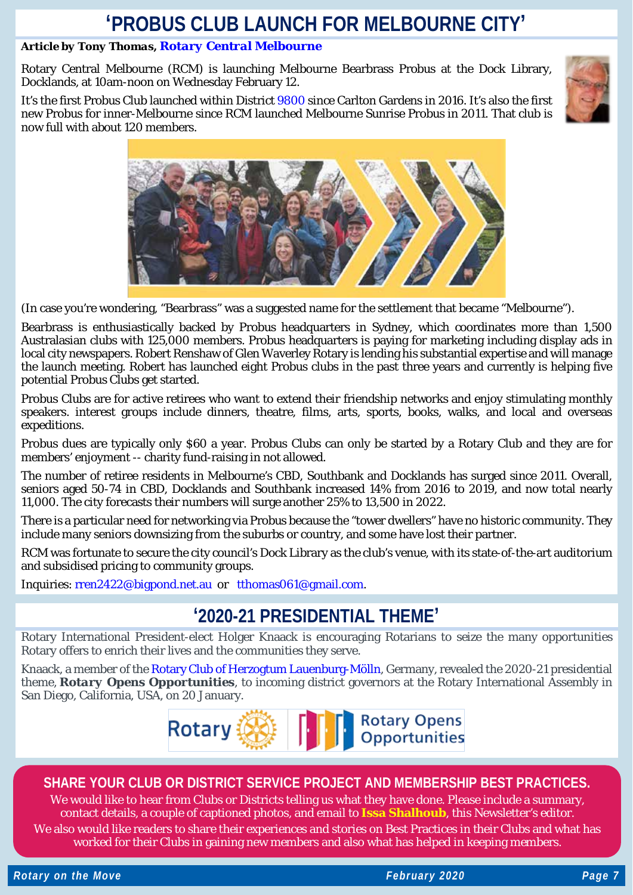### **'PROBUS CLUB LAUNCH FOR MELBOURNE CITY'**

### *Article by Tony Thomas, [Rotary Central Melbourne](https://www.rotaryclubcentralmelbourne.org.au/)*

Rotary Central Melbourne (RCM) is launching Melbourne Bearbrass Probus at the Dock Library, Docklands, at 10am-noon on Wednesday February 12.

It's the first Probus Club launched within District [9800](https://rotarydistrict9800.org.au/) since Carlton Gardens in 2016. It's also the first new Probus for inner-Melbourne since RCM launched Melbourne Sunrise Probus in 2011. That club is now full with about 120 members.



(In case you're wondering, "Bearbrass" was a suggested name for the settlement that became "Melbourne").

Bearbrass is enthusiastically backed by Probus headquarters in Sydney, which coordinates more than 1,500 Australasian clubs with 125,000 members. Probus headquarters is paying for marketing including display ads in local city newspapers. Robert Renshaw of Glen Waverley Rotary is lending his substantial expertise and will manage the launch meeting. Robert has launched eight Probus clubs in the past three years and currently is helping five potential Probus Clubs get started.

Probus Clubs are for active retirees who want to extend their friendship networks and enjoy stimulating monthly speakers. interest groups include dinners, theatre, films, arts, sports, books, walks, and local and overseas expeditions.

Probus dues are typically only \$60 a year. Probus Clubs can only be started by a Rotary Club and they are for members' enjoyment -- charity fund-raising in not allowed.

The number of retiree residents in Melbourne's CBD, Southbank and Docklands has surged since 2011. Overall, seniors aged 50-74 in CBD, Docklands and Southbank increased 14% from 2016 to 2019, and now total nearly 11,000. The city forecasts their numbers will surge another 25% to 13,500 in 2022.

There is a particular need for networking via Probus because the "tower dwellers" have no historic community. They include many seniors downsizing from the suburbs or country, and some have lost their partner.

RCM was fortunate to secure the city council's Dock Library as the club's venue, with its state-of-the-art auditorium and subsidised pricing to community groups.

Inquiries: [rren2422@bigpond.net.au](mailto:rren2422@bigpond.net.au) or [tthomas061@gmail.com.](mailto:tthomas061@gmail.com)

### **'2020-21 PRESIDENTIAL THEME'**

Rotary International President-elect Holger Knaack is encouraging Rotarians to seize the many opportunities Rotary offers to enrich their lives and the communities they serve.

Knaack, a member of the [Rotary Club of Herzogtum Lauenburg-Mölln,](https://herzogtum-lauenburg-moelln.rotary.de/) Germany, revealed the 2020-21 presidential theme, *Rotary Opens Opportunities*, to incoming district governors at the Rotary International Assembly in San Diego, California, USA, on 20 January.



### **SHARE YOUR CLUB OR DISTRICT SERVICE PROJECT AND MEMBERSHIP BEST PRACTICES.**

We would like to hear from Clubs or Districts telling us what they have done. Please include a summary, contact details, a couple of captioned photos, and email to **[Issa Shalhoub](mailto:drissa@bigpond.com)**, this Newsletter's editor*.*

We also would like readers to share their experiences and stories on Best Practices in their Clubs and what has worked for their Clubs in gaining new members and also what has helped in keeping members.